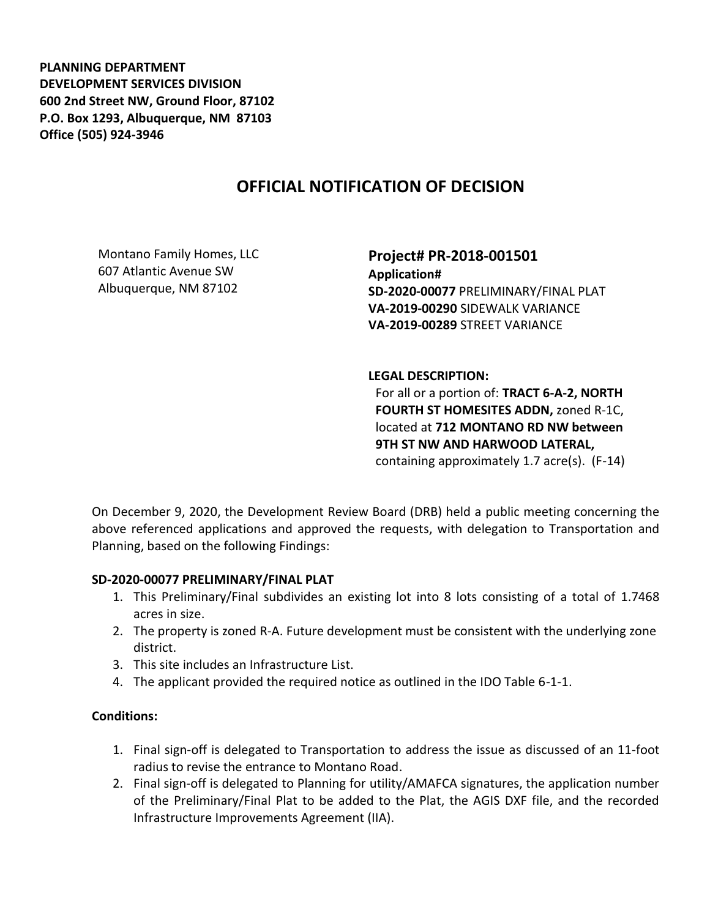**PLANNING DEPARTMENT DEVELOPMENT SERVICES DIVISION 600 2nd Street NW, Ground Floor, 87102 P.O. Box 1293, Albuquerque, NM 87103 Office (505) 924-3946** 

# **OFFICIAL NOTIFICATION OF DECISION**

Montano Family Homes, LLC 607 Atlantic Avenue SW Albuquerque, NM 87102

**Project# PR-2018-001501 Application# SD-2020-00077** PRELIMINARY/FINAL PLAT **VA-2019-00290** SIDEWALK VARIANCE **VA-2019-00289** STREET VARIANCE

### **LEGAL DESCRIPTION:**

For all or a portion of: **TRACT 6-A-2, NORTH FOURTH ST HOMESITES ADDN,** zoned R-1C, located at **712 MONTANO RD NW between 9TH ST NW AND HARWOOD LATERAL,**  containing approximately 1.7 acre(s). (F-14)

On December 9, 2020, the Development Review Board (DRB) held a public meeting concerning the above referenced applications and approved the requests, with delegation to Transportation and Planning, based on the following Findings:

### **SD-2020-00077 PRELIMINARY/FINAL PLAT**

- 1. This Preliminary/Final subdivides an existing lot into 8 lots consisting of a total of 1.7468 acres in size.
- 2. The property is zoned R-A. Future development must be consistent with the underlying zone district.
- 3. This site includes an Infrastructure List.
- 4. The applicant provided the required notice as outlined in the IDO Table 6-1-1.

## **Conditions:**

- 1. Final sign-off is delegated to Transportation to address the issue as discussed of an 11-foot radius to revise the entrance to Montano Road.
- 2. Final sign-off is delegated to Planning for utility/AMAFCA signatures, the application number of the Preliminary/Final Plat to be added to the Plat, the AGIS DXF file, and the recorded Infrastructure Improvements Agreement (IIA).